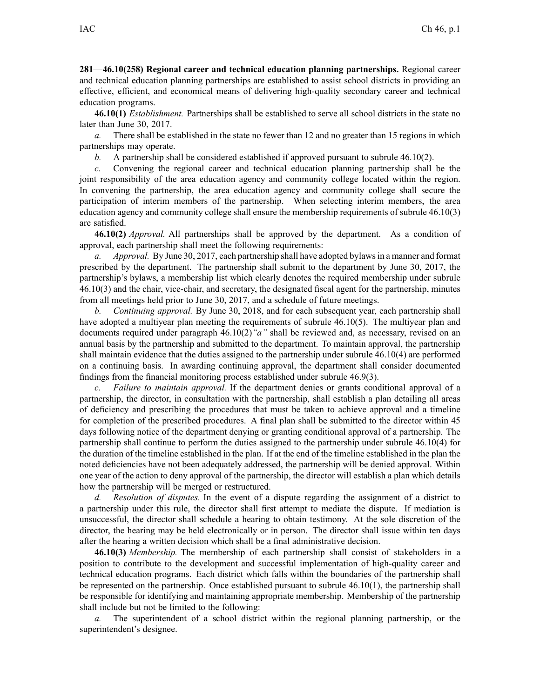**281—46.10(258) Regional career and technical education planning partnerships.** Regional career and technical education planning partnerships are established to assist school districts in providing an effective, efficient, and economical means of delivering high-quality secondary career and technical education programs.

**46.10(1)** *Establishment.* Partnerships shall be established to serve all school districts in the state no later than June 30, 2017.

*a.* There shall be established in the state no fewer than 12 and no greater than 15 regions in which partnerships may operate.

*b.* A partnership shall be considered established if approved pursuan<sup>t</sup> to subrule [46.10\(2\)](https://www.legis.iowa.gov/docs/iac/rule/281.46.10.pdf).

*c.* Convening the regional career and technical education planning partnership shall be the joint responsibility of the area education agency and community college located within the region. In convening the partnership, the area education agency and community college shall secure the participation of interim members of the partnership. When selecting interim members, the area education agency and community college shall ensure the membership requirements of subrule [46.10\(3\)](https://www.legis.iowa.gov/docs/iac/rule/281.46.10.pdf) are satisfied.

**46.10(2)** *Approval.* All partnerships shall be approved by the department. As <sup>a</sup> condition of approval, each partnership shall meet the following requirements:

*a. Approval.* By June 30, 2017, each partnership shall have adopted bylawsin <sup>a</sup> manner and format prescribed by the department. The partnership shall submit to the department by June 30, 2017, the partnership's bylaws, <sup>a</sup> membership list which clearly denotes the required membership under subrule [46.10\(3\)](https://www.legis.iowa.gov/docs/iac/rule/281.46.10.pdf) and the chair, vice-chair, and secretary, the designated fiscal agen<sup>t</sup> for the partnership, minutes from all meetings held prior to June 30, 2017, and <sup>a</sup> schedule of future meetings.

*b. Continuing approval.* By June 30, 2018, and for each subsequent year, each partnership shall have adopted a multiyear plan meeting the requirements of subrule [46.10\(5\)](https://www.legis.iowa.gov/docs/iac/rule/281.46.10.pdf). The multiyear plan and documents required under paragraph 46.10(2)*"a"* shall be reviewed and, as necessary, revised on an annual basis by the partnership and submitted to the department. To maintain approval, the partnership shall maintain evidence that the duties assigned to the partnership under subrule [46.10\(4\)](https://www.legis.iowa.gov/docs/iac/rule/281.46.10.pdf) are performed on <sup>a</sup> continuing basis. In awarding continuing approval, the department shall consider documented findings from the financial monitoring process established under subrule 46.9(3).

*c. Failure to maintain approval.* If the department denies or grants conditional approval of <sup>a</sup> partnership, the director, in consultation with the partnership, shall establish <sup>a</sup> plan detailing all areas of deficiency and prescribing the procedures that must be taken to achieve approval and <sup>a</sup> timeline for completion of the prescribed procedures. A final plan shall be submitted to the director within 45 days following notice of the department denying or granting conditional approval of <sup>a</sup> partnership. The partnership shall continue to perform the duties assigned to the partnership under subrule [46.10\(4\)](https://www.legis.iowa.gov/docs/iac/rule/281.46.10.pdf) for the duration of the timeline established in the plan. If at the end of the timeline established in the plan the noted deficiencies have not been adequately addressed, the partnership will be denied approval. Within one year of the action to deny approval of the partnership, the director will establish <sup>a</sup> plan which details how the partnership will be merged or restructured.

*d. Resolution of disputes.* In the event of <sup>a</sup> dispute regarding the assignment of <sup>a</sup> district to <sup>a</sup> partnership under this rule, the director shall first attempt to mediate the dispute. If mediation is unsuccessful, the director shall schedule <sup>a</sup> hearing to obtain testimony. At the sole discretion of the director, the hearing may be held electronically or in person. The director shall issue within ten days after the hearing <sup>a</sup> written decision which shall be <sup>a</sup> final administrative decision.

**46.10(3)** *Membership.* The membership of each partnership shall consist of stakeholders in <sup>a</sup> position to contribute to the development and successful implementation of high-quality career and technical education programs. Each district which falls within the boundaries of the partnership shall be represented on the partnership. Once established pursuan<sup>t</sup> to subrule [46.10\(1\)](https://www.legis.iowa.gov/docs/iac/rule/281.46.10.pdf), the partnership shall be responsible for identifying and maintaining appropriate membership. Membership of the partnership shall include but not be limited to the following:

*a.* The superintendent of <sup>a</sup> school district within the regional planning partnership, or the superintendent's designee.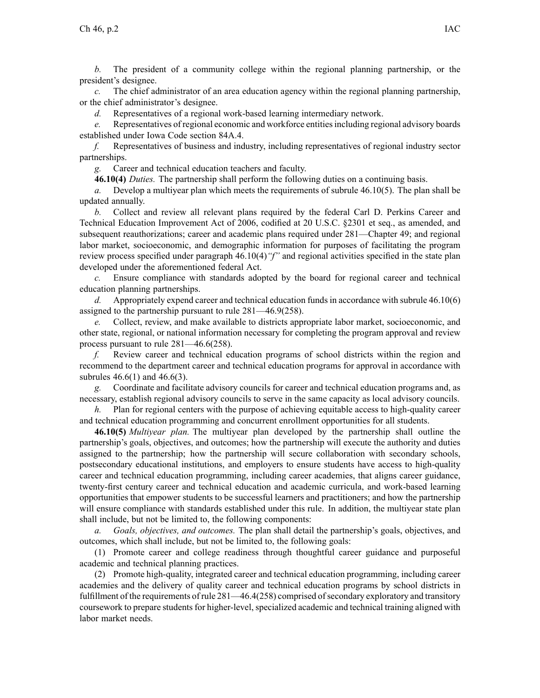*b.* The president of <sup>a</sup> community college within the regional planning partnership, or the president's designee.

*c.* The chief administrator of an area education agency within the regional planning partnership, or the chief administrator's designee.

*d.* Representatives of <sup>a</sup> regional work-based learning intermediary network.

*e.* Representatives of regional economic and workforce entitiesincluding regional advisory boards established under Iowa Code section [84A.4](https://www.legis.iowa.gov/docs/ico/section/2017/84A.4.pdf).

*f.* Representatives of business and industry, including representatives of regional industry sector partnerships.

*g.* Career and technical education teachers and faculty.

**46.10(4)** *Duties.* The partnership shall perform the following duties on <sup>a</sup> continuing basis.

*a.* Develop <sup>a</sup> multiyear plan which meets the requirements of subrule [46.10\(5\)](https://www.legis.iowa.gov/docs/iac/rule/281.46.10.pdf). The plan shall be updated annually.

*b.* Collect and review all relevant plans required by the federal Carl D. Perkins Career and Technical Education Improvement Act of 2006, codified at 20 U.S.C. §2301 et seq., as amended, and subsequent reauthorizations; career and academic plans required under [281—Chapter](https://www.legis.iowa.gov/docs/iac/chapter/281.49.pdf) 49; and regional labor market, socioeconomic, and demographic information for purposes of facilitating the program review process specified under paragraph [46.10\(4\)](https://www.legis.iowa.gov/docs/iac/rule/281.46.10.pdf)*"f"* and regional activities specified in the state plan developed under the aforementioned federal Act.

*c.* Ensure compliance with standards adopted by the board for regional career and technical education planning partnerships.

*d.* Appropriately expend career and technical education fundsin accordance with subrule [46.10\(6\)](https://www.legis.iowa.gov/docs/iac/rule/281.46.10.pdf) assigned to the partnership pursuan<sup>t</sup> to rule [281—46.9](https://www.legis.iowa.gov/docs/iac/rule/281.46.9.pdf)(258).

*e.* Collect, review, and make available to districts appropriate labor market, socioeconomic, and other state, regional, or national information necessary for completing the program approval and review process pursuan<sup>t</sup> to rule [281—46.6\(](https://www.legis.iowa.gov/docs/iac/rule/281.46.6.pdf)258).

*f.* Review career and technical education programs of school districts within the region and recommend to the department career and technical education programs for approval in accordance with subrules 46.6(1) and 46.6(3).

*g.* Coordinate and facilitate advisory councils for career and technical education programs and, as necessary, establish regional advisory councils to serve in the same capacity as local advisory councils.

*h.* Plan for regional centers with the purpose of achieving equitable access to high-quality career and technical education programming and concurrent enrollment opportunities for all students.

**46.10(5)** *Multiyear plan.* The multiyear plan developed by the partnership shall outline the partnership's goals, objectives, and outcomes; how the partnership will execute the authority and duties assigned to the partnership; how the partnership will secure collaboration with secondary schools, postsecondary educational institutions, and employers to ensure students have access to high-quality career and technical education programming, including career academies, that aligns career guidance, twenty-first century career and technical education and academic curricula, and work-based learning opportunities that empower students to be successful learners and practitioners; and how the partnership will ensure compliance with standards established under this rule. In addition, the multiyear state plan shall include, but not be limited to, the following components:

*a. Goals, objectives, and outcomes.* The plan shall detail the partnership's goals, objectives, and outcomes, which shall include, but not be limited to, the following goals:

(1) Promote career and college readiness through thoughtful career guidance and purposeful academic and technical planning practices.

(2) Promote high-quality, integrated career and technical education programming, including career academies and the delivery of quality career and technical education programs by school districts in fulfillment of the requirements of rule  $281-46.4(258)$  comprised of secondary exploratory and transitory coursework to prepare students for higher-level, specialized academic and technical training aligned with labor market needs.